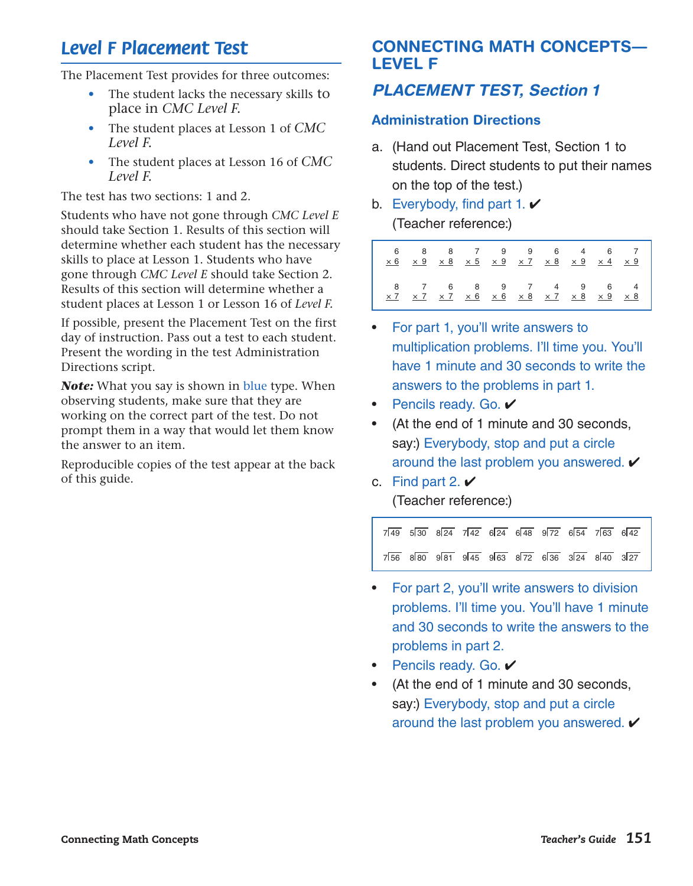# *Level F Placement Test*

The Placement Test provides for three outcomes:

- The student lacks the necessary skills to place in *CMC Level F.*
- The student places at Lesson 1 of *CMC Level F.*
- The student places at Lesson 16 of *CMC Level F.*

The test has two sections: 1 and 2.

Students who have not gone through *CMC Level E* should take Section 1. Results of this section will determine whether each student has the necessary skills to place at Lesson 1. Students who have gone through *CMC Level E* should take Section 2. Results of this section will determine whether a student places at Lesson 1 or Lesson 16 of *Level F.*

If possible, present the Placement Test on the first day of instruction. Pass out a test to each student. Present the wording in the test Administration Directions script.

*Note:* What you say is shown in blue type. When observing students, make sure that they are working on the correct part of the test. Do not prompt them in a way that would let them know the answer to an item.

Reproducible copies of the test appear at the back of this guide.

# CONNECTING MATH CONCEPTS— LEVEL F

# *PLACEMENT TEST, Section 1*

### Administration Directions

- a. (Hand out Placement Test, Section 1 to students. Direct students to put their names on the top of the test.)
- b. Everybody, find part 1.  $\vee$ (Teacher reference:)

| 6 8 8 7 9 9 6 4 6 7<br>x 6 x 9 x 8 x 5 x 9 x 7 x 8 x 9 x 4 x 9 |  |  |  |  |
|----------------------------------------------------------------|--|--|--|--|
| 8 7 6 8 9 7 4 9 6 4<br><u>x7 x7 x7 x6 x6 x8 x7 x8 x9 x8</u>    |  |  |  |  |

- For part 1, you'll write answers to multiplication problems. I'll time you. You'll have 1 minute and 30 seconds to write the answers to the problems in part 1.
- **Pencils ready. Go. ✔**
- (At the end of 1 minute and 30 seconds, say:) Everybody, stop and put a circle around the last problem you answered.  $\checkmark$
- c. Find part 2.  $\checkmark$

(Teacher reference:)

|  | $7\overline{49}$ 530 824 742 624 648 972 654 763 642 |  |  |  |
|--|------------------------------------------------------|--|--|--|
|  | $7\overline{56}$ 880 981 945 963 872 636 324 840 327 |  |  |  |

- For part 2, you'll write answers to division problems. I'll time you. You'll have 1 minute and 30 seconds to write the answers to the problems in part 2.
- Pencils ready. Go.  $\checkmark$
- (At the end of 1 minute and 30 seconds, say:) Everybody, stop and put a circle around the last problem you answered.  $\checkmark$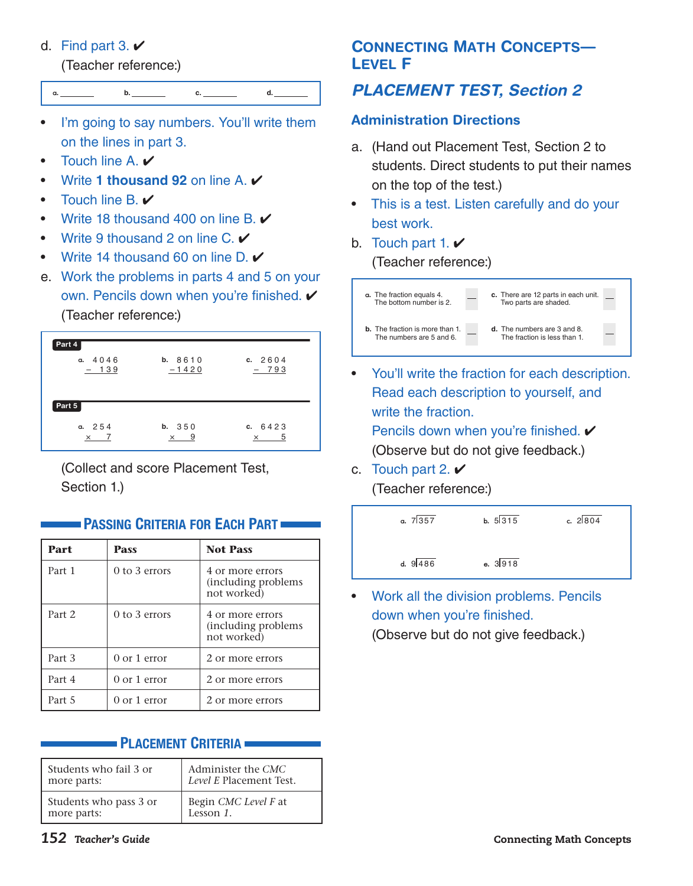## d. Find part 3.  $\vee$

(Teacher reference:)



**a. b. c. d.**

- Touch line A.
- Write 1 thousand 92 on line A.  $\checkmark$
- Touch line B.  $\checkmark$
- Write 18 thousand 400 on line B.  $\vee$
- Write 9 thousand 2 on line C.  $\checkmark$
- Write 14 thousand 60 on line  $D \times$
- e. Work the problems in parts 4 and 5 on your own. Pencils down when you're finished. ✔ (Teacher reference:)



 (Collect and score Placement Test, Section 1.)

| Part   | <b>Pass</b>       | <b>Not Pass</b>                                         |
|--------|-------------------|---------------------------------------------------------|
| Part 1 | $0$ to 3 errors   | 4 or more errors<br>(including problems)<br>not worked) |
| Part 2 | $0$ to $3$ errors | 4 or more errors<br>(including problems)<br>not worked) |
| Part 3 | $0$ or 1 error    | 2 or more errors                                        |
| Part 4 | $0$ or $1$ error  | 2 or more errors                                        |
| Part 5 | $0$ or 1 error    | 2 or more errors                                        |

## **PASSING CRITERIA FOR EACH PART**

## PLACEMENT CRITERIA

| Students who fail 3 or | Administer the CMC      |
|------------------------|-------------------------|
| more parts:            | Level E Placement Test. |
| Students who pass 3 or | Begin CMC Level F at    |
| more parts:            | Lesson 1.               |

# **CONNECTING MATH CONCEPTS-**LEVEL F

# *PLACEMENT TEST, Section 2*

## Administration Directions

- a. (Hand out Placement Test, Section 2 to students. Direct students to put their names on the top of the test.)
- This is a test. Listen carefully and do your best work.
- b. Touch part 1.  $\vee$ (Teacher reference:)



- You'll write the fraction for each description. Read each description to yourself, and write the fraction. Pencils down when you're finished.  $\checkmark$ (Observe but do not give feedback.)
- c. Touch part 2.  $\vee$ (Teacher reference:)



• Work all the division problems. Pencils down when you're finished. (Observe but do not give feedback.)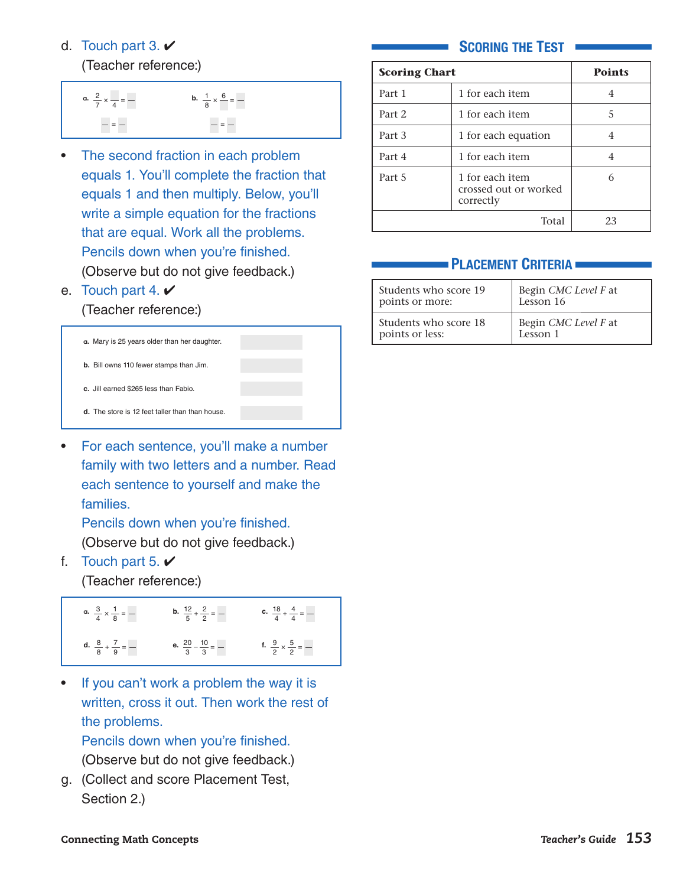### d. Touch part 3.  $\vee$

(Teacher reference:)

**a.**  $\frac{2}{7}$  $\frac{2}{7}$  ×  $\frac{1}{4}$  =  $-$  =  $$ **b.**  $\frac{1}{8}$  $\frac{1}{8} \times \frac{6}{8} =$ =

- The second fraction in each problem equals 1. You'll complete the fraction that equals 1 and then multiply. Below, you'll write a simple equation for the fractions that are equal. Work all the problems. Pencils down when you're finished. (Observe but do not give feedback.)
- e. Touch part 4.  $\vee$

### (Teacher reference:)



• For each sentence, you'll make a number family with two letters and a number. Read each sentence to yourself and make the families.

 Pencils down when you're finished. (Observe but do not give feedback.)

f. Touch part 5.  $\vee$ 

(Teacher reference:)

| a. $\frac{3}{4} \times \frac{1}{8} =$ - | <b>b.</b> $\frac{12}{5} + \frac{2}{2} =$ - | <b>c.</b> $\frac{18}{4} + \frac{4}{4} =$ - |
|-----------------------------------------|--------------------------------------------|--------------------------------------------|
| d. $\frac{8}{8} + \frac{7}{9} =$ -      | e. $\frac{20}{3} - \frac{10}{3} =$ -       | f. $\frac{9}{2} \times \frac{5}{2} =$ -    |

If you can't work a problem the way it is written, cross it out. Then work the rest of the problems.

 Pencils down when you're finished. (Observe but do not give feedback.)

g. (Collect and score Placement Test, Section 2.)

### SCORING THE TEST

| <b>Scoring Chart</b> | <b>Points</b>       |   |
|----------------------|---------------------|---|
| Part 1               | 1 for each item     |   |
| Part 2               | 1 for each item     | 5 |
| Part 3               | 1 for each equation | 4 |
| Part 4               | 1 for each item     |   |
| Part 5               | 6                   |   |
|                      | 23                  |   |

## **PLACEMENT CRITERIA =**

| Students who score 19 | Begin CMC Level F at |
|-----------------------|----------------------|
| points or more:       | Lesson 16            |
| Students who score 18 | Begin CMC Level F at |
| points or less:       | Lesson 1             |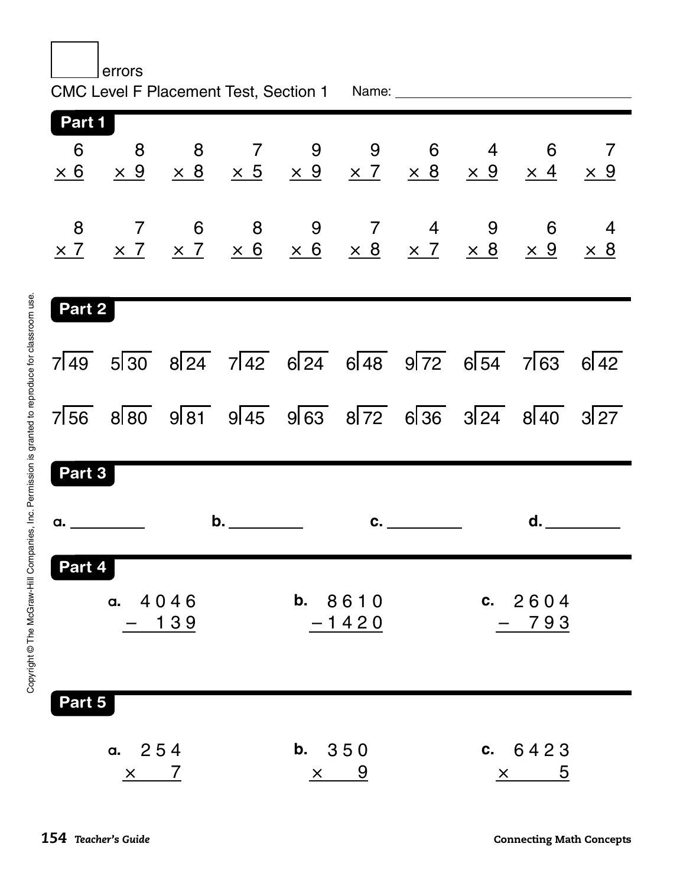| errors |                                         |  |  |                      |            |                                                      |                                                                                                                |                |  |
|--------|-----------------------------------------|--|--|----------------------|------------|------------------------------------------------------|----------------------------------------------------------------------------------------------------------------|----------------|--|
| Part 1 |                                         |  |  |                      |            |                                                      |                                                                                                                |                |  |
|        |                                         |  |  |                      |            |                                                      |                                                                                                                |                |  |
| Part 2 |                                         |  |  |                      |            |                                                      |                                                                                                                |                |  |
|        |                                         |  |  |                      |            | $7\overline{49}$ 530 824 742 624 648 972 654 763 642 |                                                                                                                |                |  |
|        |                                         |  |  |                      |            | $7\overline{56}$ 880 981 945 963 872 636 324 840 327 |                                                                                                                |                |  |
| Part 3 |                                         |  |  |                      |            |                                                      |                                                                                                                |                |  |
|        | $\mathsf{b}$ .<br>a. <u>___________</u> |  |  | $c.$ $\qquad \qquad$ |            |                                                      | d. Designed a series of the series of the series of the series of the series of the series of the series of th |                |  |
| Part 4 | a. $4046$<br><u> 1 3 9</u>              |  |  | b. 8610<br>$-1420$   |            |                                                      | c. $2604$<br>793                                                                                               |                |  |
|        | Part 5<br>a. $254$<br>$\times$ 7        |  |  | <b>b.</b> 350        | $\times$ 9 |                                                      | $\times$                                                                                                       | c. $6423$<br>5 |  |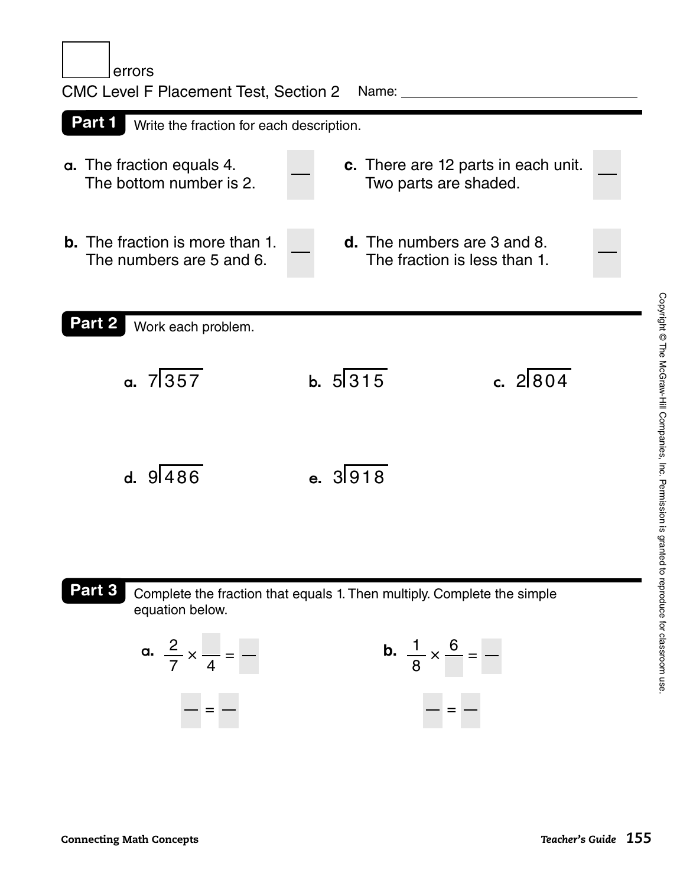errors

|                                                                    | <b>CMC Level F Placement Test, Section 2</b><br>Name:              |            |  |  |  |  |  |
|--------------------------------------------------------------------|--------------------------------------------------------------------|------------|--|--|--|--|--|
| Part 1<br>Write the fraction for each description.                 |                                                                    |            |  |  |  |  |  |
| a. The fraction equals 4.<br>The bottom number is 2.               | c. There are 12 parts in each unit.<br>Two parts are shaded.       |            |  |  |  |  |  |
| <b>b.</b> The fraction is more than 1.<br>The numbers are 5 and 6. | <b>d.</b> The numbers are 3 and 8.<br>The fraction is less than 1. |            |  |  |  |  |  |
| Part 2<br>Work each problem.                                       |                                                                    |            |  |  |  |  |  |
| a. 7357                                                            | b. $5 315$                                                         | c. $2 804$ |  |  |  |  |  |
| d. 9486                                                            | e. 3918                                                            |            |  |  |  |  |  |

Part 3

Complete the fraction that equals 1. Then multiply. Complete the simple equation below.

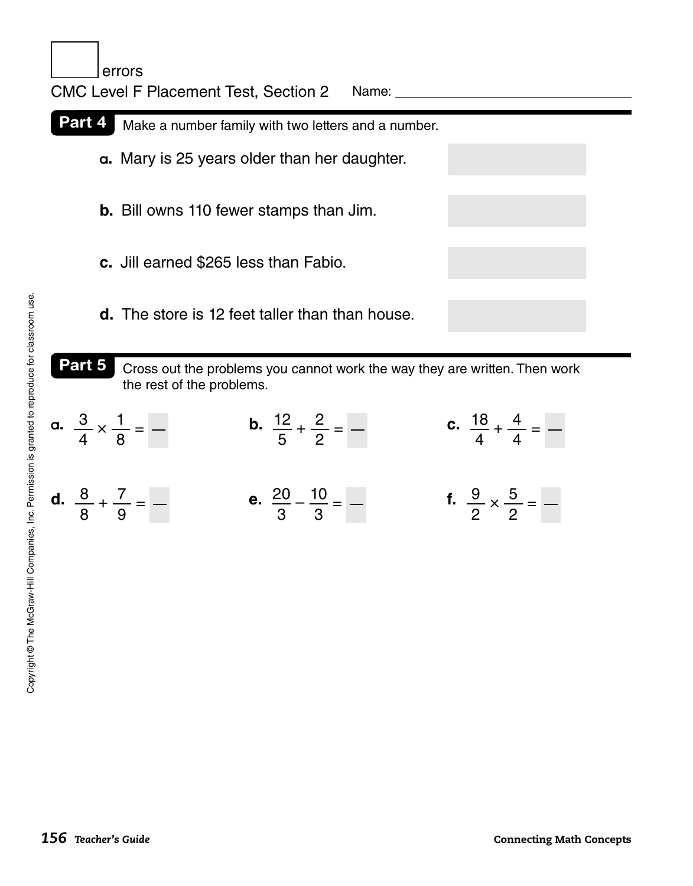



| a. $\frac{3}{4} \times \frac{1}{8} =$ - | <b>b.</b> $\frac{12}{5} + \frac{2}{2} =$ -  | <b>c.</b> $\frac{18}{4} + \frac{4}{4} =$ -     |
|-----------------------------------------|---------------------------------------------|------------------------------------------------|
| d. $\frac{8}{8} + \frac{7}{9} =$ -      | <b>e.</b> $\frac{20}{3} - \frac{10}{3} =$ - | <b>f.</b> $\frac{9}{2} \times \frac{5}{2} =$ - |